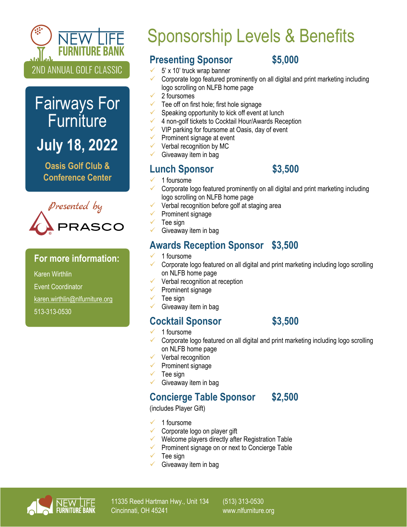

# Fairways For **Furniture July 18, 2022**

**Oasis Golf Club & Conference Center**



#### **For more information:**

Karen Wirthlin

Event Coordinator

[karen.wirthlin@nlfurniture.org](mailto:karen.wirthlin@nlfurniture.org)

513-313-0530

# Sponsorship Levels & Benefits

## **Presenting Sponsor \$5,000**

- 5' x 10' truck wrap banner
- Corporate logo featured prominently on all digital and print marketing including logo scrolling on NLFB home page
- 2 foursomes
- Tee off on first hole; first hole signage
- Speaking opportunity to kick off event at lunch
- 4 non-golf tickets to Cocktail Hour/Awards Reception
- VIP parking for foursome at Oasis, day of event
- Prominent signage at event
- Verbal recognition by MC
- Giveaway item in bag

### **Lunch Sponsor \$3,500**

- 1 foursome
- Corporate logo featured prominently on all digital and print marketing including logo scrolling on NLFB home page
- Verbal recognition before golf at staging area
- Prominent signage
- Tee sign
- Giveaway item in bag

# **Awards Reception Sponsor \$3,500**

- 1 foursome
- Corporate logo featured on all digital and print marketing including logo scrolling on NLFB home page
- Verbal recognition at reception
- Prominent signage
- Tee sign
	- Giveaway item in bag

### **Cocktail Sponsor \$3,500**

- 1 foursome
- Corporate logo featured on all digital and print marketing including logo scrolling on NLFB home page
- $\checkmark$  Verbal recognition
- $\checkmark$  Prominent signage
- Tee sign
- Giveaway item in bag

# **Concierge Table Sponsor \$2,500**

(includes Player Gift)

- 1 foursome
- Corporate logo on player gift
- Welcome players directly after Registration Table
- Prominent signage on or next to Concierge Table
- Tee sign
- Giveaway item in bag



11335 Reed Hartman Hwy., Unit 134 Cincinnati, OH 45241

(513) 313-0530 www.nlfurniture.org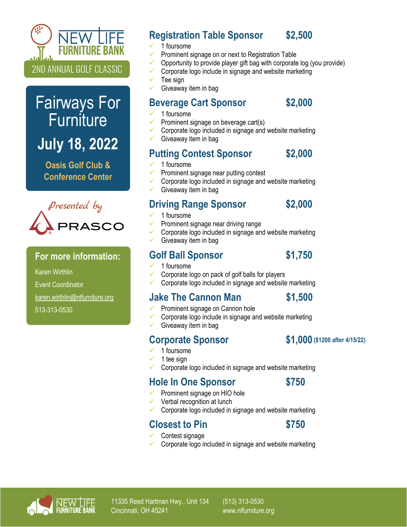

# Fairways For **Furniture**

**July 18, 2022**

**Oasis Golf Club & Conference Center**



#### **For more information:**

Karen Wirthlin

Event Coordinator

[karen.wirthlin@nlfurniture.org](mailto:karen.wirthlin@nlfurniture.org)

513-313-0530

## **Registration Table Sponsor \$2,500**

- 1 foursome
- Prominent signage on or next to Registration Table
- Opportunity to provide player gift bag with corporate log (you provide)
- Corporate logo include in signage and website marketing
- Tee sign
- Giveaway item in bag

### **Beverage Cart Sponsor \$2,000**

- 1 foursome
- Prominent signage on beverage cart(s)
- Corporate logo included in signage and website marketing
- Giveaway item in bag

### **Putting Contest Sponsor \$2,000**

- 1 foursome
	- Prominent signage near putting contest
- Corporate logo included in signage and website marketing
- Giveaway item in bag

### **Driving Range Sponsor \$2,000**

- 1 foursome
- Prominent signage near driving range
- Corporate logo included in signage and website marketing
- Giveaway item in bag

#### Golf Ball Sponsor \$1,750

- 1 foursome
- Corporate logo on pack of golf balls for players
- Corporate logo included in signage and website marketing

### **Jake The Cannon Man \$1,500**

- Prominent signage on Cannon hole
- Corporate logo include in signage and website marketing
- Giveaway item in bag

### **Corporate Sponsor**

- 1 foursome
- 1 tee sign
- Corporate logo included in signage and website marketing

### **Hole In One Sponsor \$750**

- Prominent signage on HIO hole
- Verbal recognition at lunch
- Corporate logo included in signage and website marketing

## **Closest to Pin \$750**

- Contest signage
- Corporate logo included in signage and website marketing



11335 Reed Hartman Hwy., Unit 134 Cincinnati, OH 45241

(513) 313-0530 www.nlfurniture.org



**(\$1200 after 4/15/22)**